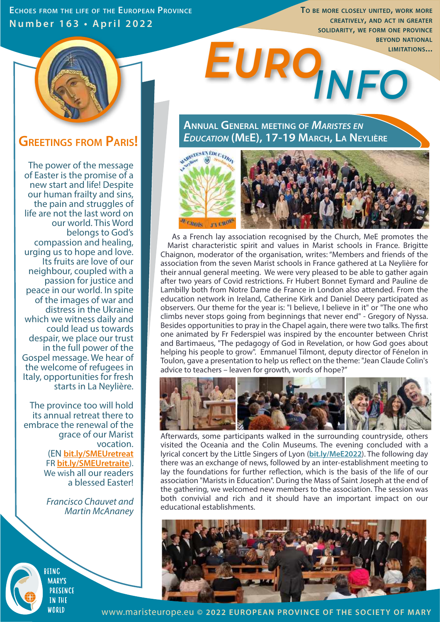**ECHOES FROM THE LIFE OF THE EUROPEAN PROVINCE Number 163 • April 2022**

*info Euro* **TO BE MORE CLOSELY UNITED, WORK MORE CREATIVELY, AND ACT IN GREATER SOLIDARITY, WE FORM ONE PROVINCE BEYOND NATIONAL LIMITATIONS...** 



## **GREETINGS FROM PARIS!**

The power of the message of Easter is the promise of a new start and life! Despite our human frailty and sins, the pain and struggles of life are not the last word on our world. This Word belongs to God's compassion and healing, urging us to hope and love. Its fruits are love of our neighbour, coupled with a passion for justice and peace in our world. In spite of the images of war and distress in the Ukraine which we witness daily and could lead us towards despair, we place our trust in the full power of the Gospel message. We hear of the welcome of refugees in Italy, opportunities for fresh starts in La Neylière.

The province too will hold its annual retreat there to embrace the renewal of the grace of our Marist vocation. (EN **bit.ly/SMEUretreat** FR **bit.ly/SMEUretraite**). We wish all our readers a blessed Easter!

> *Francisco Chauvet and Martin McAnaney*

**BEING MARY'S PRESENCE TN THE** WORLD

**ANNUAL GENERAL MEETING OF** *MARISTES EN EDUCATION* **(MEE), 17-19 MARCH, LA NEYLIÈRE**



 As a French lay association recognised by the Church, MeE promotes the Marist characteristic spirit and values in Marist schools in France. Brigitte Chaignon, moderator of the organisation, writes: "Members and friends of the association from the seven Marist schools in France gathered at La Neylière for their annual general meeting. We were very pleased to be able to gather again after two years of Covid restrictions. Fr Hubert Bonnet Eymard and Pauline de Lambilly both from Notre Dame de France in London also attended. From the education network in Ireland, Catherine Kirk and Daniel Deery participated as observers. Our theme for the year is: "I believe, I believe in it" or "The one who climbs never stops going from beginnings that never end" - Gregory of Nyssa. Besides opportunities to pray in the Chapel again, there were two talks. The first one animated by Fr Federspiel was inspired by the encounter between Christ and Bartimaeus, "The pedagogy of God in Revelation, or how God goes about helping his people to grow". Emmanuel Tilmont, deputy director of Fénelon in Toulon, gave a presentation to help us reflect on the theme: "Jean Claude Colin's advice to teachers – leaven for growth, words of hope?"



Afterwards, some participants walked in the surrounding countryside, others visited the Oceania and the Colin Museums. The evening concluded with a lyrical concert by the Little Singers of Lyon (**bit.ly/MeE2022**). The following day there was an exchange of news, followed by an inter-establishment meeting to lay the foundations for further reflection, which is the basis of the life of our association "Marists in Education". During the Mass of Saint Joseph at the end of the gathering, we welcomed new members to the association. The session was both convivial and rich and it should have an important impact on our educational establishments.



www.maristeurope.eu **© 2022 EUROPEAN PROVINCE OF THE SOCIETY OF MARY**